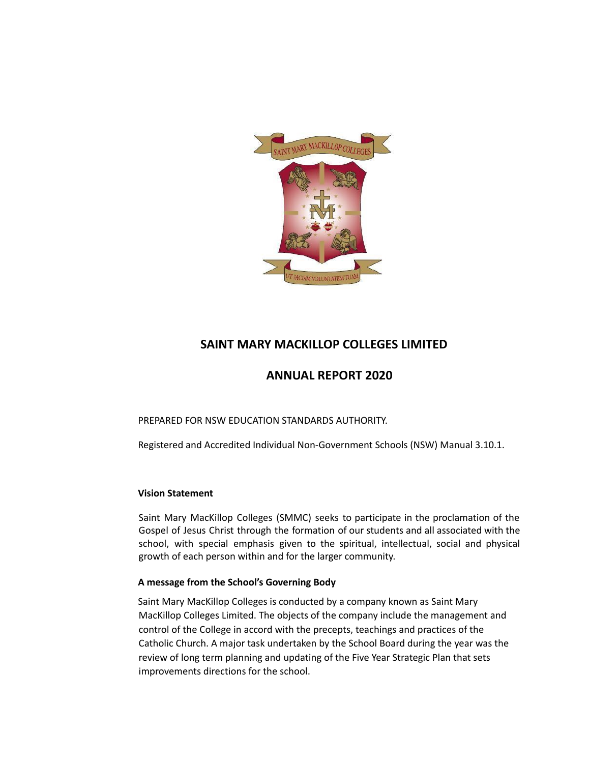

## **SAINT MARY MACKILLOP COLLEGES LIMITED**

## **ANNUAL REPORT 2020**

PREPARED FOR NSW EDUCATION STANDARDS AUTHORITY.

Registered and Accredited Individual Non-Government Schools (NSW) Manual 3.10.1.

## **Vision Statement**

Saint Mary MacKillop Colleges (SMMC) seeks to participate in the proclamation of the Gospel of Jesus Christ through the formation of our students and all associated with the school, with special emphasis given to the spiritual, intellectual, social and physical growth of each person within and for the larger community.

## **A message from the School's Governing Body**

Saint Mary MacKillop Colleges is conducted by a company known as Saint Mary MacKillop Colleges Limited. The objects of the company include the management and control of the College in accord with the precepts, teachings and practices of the Catholic Church. A major task undertaken by the School Board during the year was the review of long term planning and updating of the Five Year Strategic Plan that sets improvements directions for the school.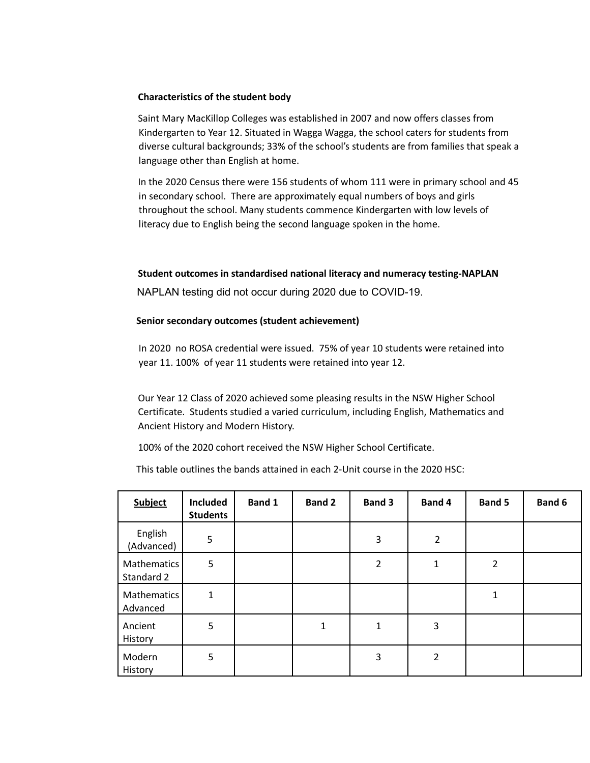#### **Characteristics of the student body**

Saint Mary MacKillop Colleges was established in 2007 and now offers classes from Kindergarten to Year 12. Situated in Wagga Wagga, the school caters for students from diverse cultural backgrounds; 33% of the school's students are from families that speak a language other than English at home.

In the 2020 Census there were 156 students of whom 111 were in primary school and 45 in secondary school. There are approximately equal numbers of boys and girls throughout the school. Many students commence Kindergarten with low levels of literacy due to English being the second language spoken in the home.

#### **Student outcomes in standardised national literacy and numeracy testing-NAPLAN**

NAPLAN testing did not occur during 2020 due to COVID-19.

#### **Senior secondary outcomes (student achievement)**

In 2020 no ROSA credential were issued. 75% of year 10 students were retained into year 11. 100% of year 11 students were retained into year 12.

Our Year 12 Class of 2020 achieved some pleasing results in the NSW Higher School Certificate. Students studied a varied curriculum, including English, Mathematics and Ancient History and Modern History.

100% of the 2020 cohort received the NSW Higher School Certificate.

This table outlines the bands attained in each 2-Unit course in the 2020 HSC:

| <b>Subject</b>            | <b>Included</b><br><b>Students</b> | Band 1 | <b>Band 2</b> | <b>Band 3</b>  | Band 4         | <b>Band 5</b> | Band 6 |
|---------------------------|------------------------------------|--------|---------------|----------------|----------------|---------------|--------|
| English<br>(Advanced)     | 5                                  |        |               | 3              | $\overline{2}$ |               |        |
| Mathematics<br>Standard 2 | 5                                  |        |               | $\overline{2}$ | 1              | 2             |        |
| Mathematics<br>Advanced   | $\mathbf{1}$                       |        |               |                |                | $\mathbf{1}$  |        |
| Ancient<br>History        | 5                                  |        | 1             | 1              | 3              |               |        |
| Modern<br>History         | 5                                  |        |               | 3              | 2              |               |        |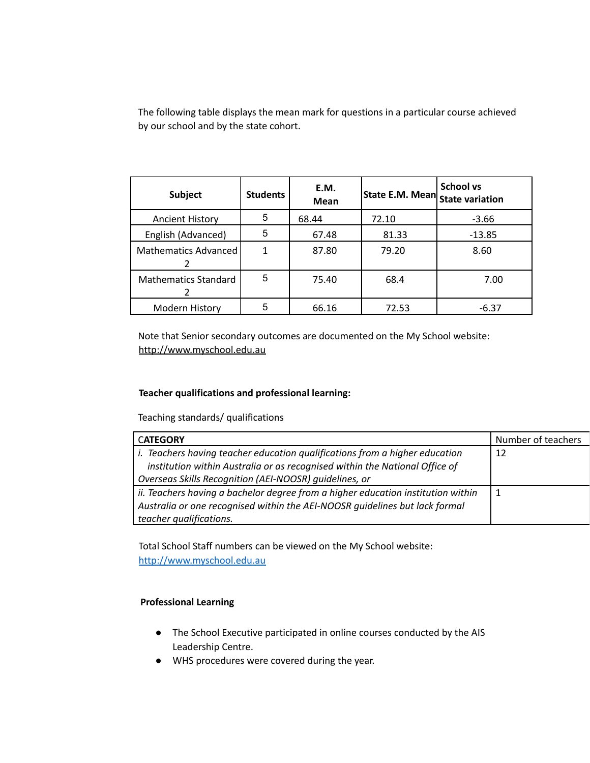The following table displays the mean mark for questions in a particular course achieved by our school and by the state cohort.

| <b>Subject</b>              | <b>Students</b> | E.M.<br><b>Mean</b> | <b>State E.M. Mean State variation</b> | School vs |
|-----------------------------|-----------------|---------------------|----------------------------------------|-----------|
| <b>Ancient History</b>      | 5               | 68.44               | 72.10                                  | $-3.66$   |
| English (Advanced)          | 5               | 67.48               | 81.33                                  | $-13.85$  |
| Mathematics Advanced        |                 | 87.80               | 79.20                                  | 8.60      |
| <b>Mathematics Standard</b> | 5               | 75.40               | 68.4                                   | 7.00      |
| Modern History              | 5               | 66.16               | 72.53                                  | $-6.37$   |

Note that Senior secondary outcomes are documented on the My School website: <http://www.myschool.edu.au>

#### **Teacher qualifications and professional learning:**

Teaching standards/ qualifications

| <b>CATEGORY</b>                                                                    | Number of teachers |
|------------------------------------------------------------------------------------|--------------------|
| <i>i.</i> Teachers having teacher education qualifications from a higher education | 12                 |
| institution within Australia or as recognised within the National Office of        |                    |
| Overseas Skills Recognition (AEI-NOOSR) guidelines, or                             |                    |
| ii. Teachers having a bachelor degree from a higher education institution within   |                    |
| Australia or one recognised within the AEI-NOOSR guidelines but lack formal        |                    |
| teacher qualifications.                                                            |                    |

Total School Staff numbers can be viewed on the My School website: <http://www.myschool.edu.au>

## **Professional Learning**

- The School Executive participated in online courses conducted by the AIS Leadership Centre.
- WHS procedures were covered during the year.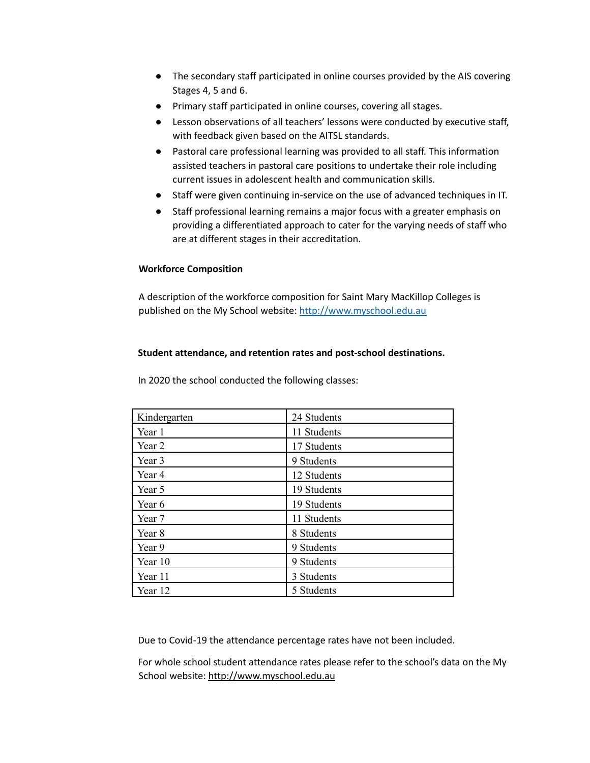- The secondary staff participated in online courses provided by the AIS covering Stages 4, 5 and 6.
- Primary staff participated in online courses, covering all stages.
- Lesson observations of all teachers' lessons were conducted by executive staff, with feedback given based on the AITSL standards.
- Pastoral care professional learning was provided to all staff. This information assisted teachers in pastoral care positions to undertake their role including current issues in adolescent health and communication skills.
- Staff were given continuing in-service on the use of advanced techniques in IT.
- Staff professional learning remains a major focus with a greater emphasis on providing a differentiated approach to cater for the varying needs of staff who are at different stages in their accreditation.

#### **Workforce Composition**

A description of the workforce composition for Saint Mary MacKillop Colleges is published on the My School website: <http://www.myschool.edu.au>

#### **Student attendance, and retention rates and post-school destinations.**

In 2020 the school conducted the following classes:

| Kindergarten | 24 Students |
|--------------|-------------|
| Year 1       | 11 Students |
| Year 2       | 17 Students |
| Year 3       | 9 Students  |
| Year 4       | 12 Students |
| Year 5       | 19 Students |
| Year 6       | 19 Students |
| Year 7       | 11 Students |
| Year 8       | 8 Students  |
| Year 9       | 9 Students  |
| Year 10      | 9 Students  |
| Year 11      | 3 Students  |
| Year 12      | 5 Students  |

Due to Covid-19 the attendance percentage rates have not been included.

For whole school student attendance rates please refer to the school's data on the My School website: <http://www.myschool.edu.au>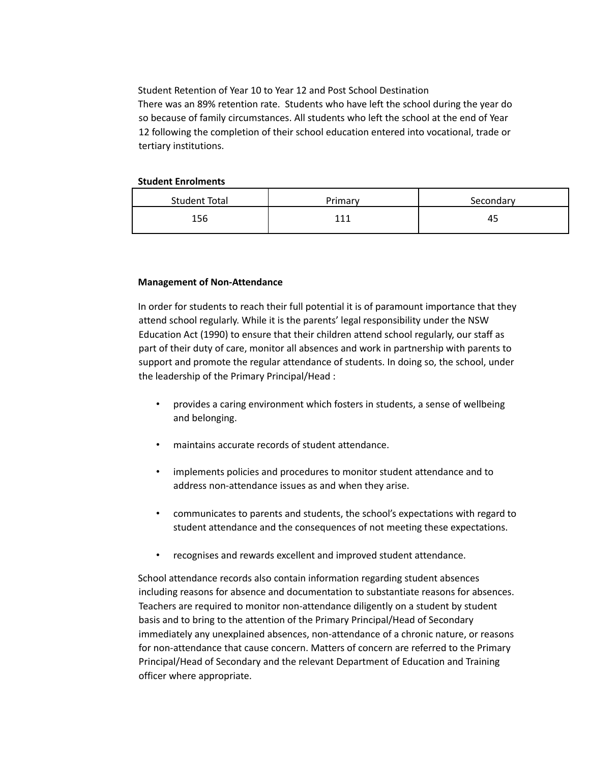Student Retention of Year 10 to Year 12 and Post School Destination There was an 89% retention rate. Students who have left the school during the year do so because of family circumstances. All students who left the school at the end of Year 12 following the completion of their school education entered into vocational, trade or tertiary institutions.

#### **Student Enrolments**

| Student Total | Primary | Secondary |
|---------------|---------|-----------|
| 156           | $\sim$  | 45        |

#### **Management of Non-Attendance**

In order for students to reach their full potential it is of paramount importance that they attend school regularly. While it is the parents' legal responsibility under the NSW Education Act (1990) to ensure that their children attend school regularly, our staff as part of their duty of care, monitor all absences and work in partnership with parents to support and promote the regular attendance of students. In doing so, the school, under the leadership of the Primary Principal/Head :

- provides a caring environment which fosters in students, a sense of wellbeing and belonging.
- maintains accurate records of student attendance.
- implements policies and procedures to monitor student attendance and to address non-attendance issues as and when they arise.
- communicates to parents and students, the school's expectations with regard to student attendance and the consequences of not meeting these expectations.
- recognises and rewards excellent and improved student attendance.

School attendance records also contain information regarding student absences including reasons for absence and documentation to substantiate reasons for absences. Teachers are required to monitor non-attendance diligently on a student by student basis and to bring to the attention of the Primary Principal/Head of Secondary immediately any unexplained absences, non-attendance of a chronic nature, or reasons for non-attendance that cause concern. Matters of concern are referred to the Primary Principal/Head of Secondary and the relevant Department of Education and Training officer where appropriate.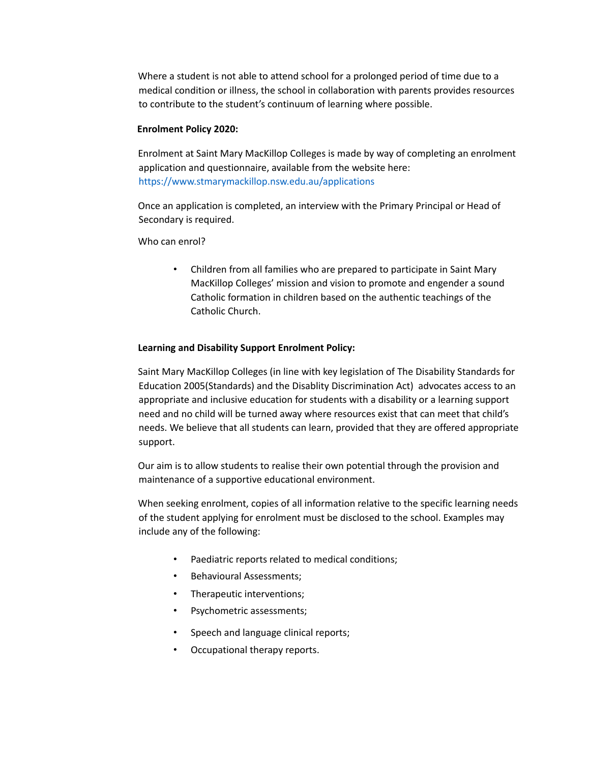Where a student is not able to attend school for a prolonged period of time due to a medical condition or illness, the school in collaboration with parents provides resources to contribute to the student's continuum of learning where possible.

#### **Enrolment Policy 2020:**

Enrolment at Saint Mary MacKillop Colleges is made by way of completing an enrolment application and questionnaire, available from the website here: <https://www.stmarymackillop.nsw.edu.au/applications>

Once an application is completed, an interview with the Primary Principal or Head of Secondary is required.

Who can enrol?

• Children from all families who are prepared to participate in Saint Mary MacKillop Colleges' mission and vision to promote and engender a sound Catholic formation in children based on the authentic teachings of the Catholic Church.

#### **Learning and Disability Support Enrolment Policy:**

Saint Mary MacKillop Colleges (in line with key legislation of The Disability Standards for Education 2005(Standards) and the Disablity Discrimination Act) advocates access to an appropriate and inclusive education for students with a disability or a learning support need and no child will be turned away where resources exist that can meet that child's needs. We believe that all students can learn, provided that they are offered appropriate support.

Our aim is to allow students to realise their own potential through the provision and maintenance of a supportive educational environment.

When seeking enrolment, copies of all information relative to the specific learning needs of the student applying for enrolment must be disclosed to the school. Examples may include any of the following:

- Paediatric reports related to medical conditions;
- Behavioural Assessments;
- Therapeutic interventions;
- Psychometric assessments;
- Speech and language clinical reports;
- Occupational therapy reports.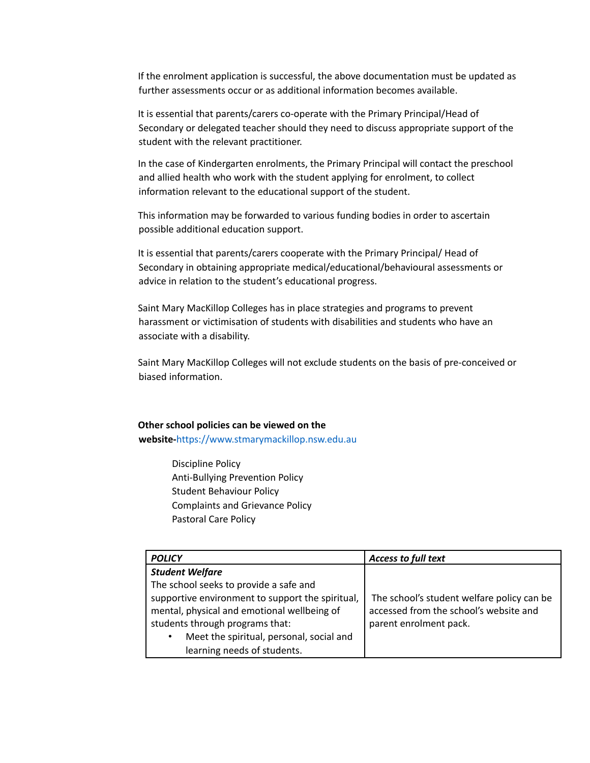If the enrolment application is successful, the above documentation must be updated as further assessments occur or as additional information becomes available.

It is essential that parents/carers co-operate with the Primary Principal/Head of Secondary or delegated teacher should they need to discuss appropriate support of the student with the relevant practitioner.

In the case of Kindergarten enrolments, the Primary Principal will contact the preschool and allied health who work with the student applying for enrolment, to collect information relevant to the educational support of the student.

This information may be forwarded to various funding bodies in order to ascertain possible additional education support.

It is essential that parents/carers cooperate with the Primary Principal/ Head of Secondary in obtaining appropriate medical/educational/behavioural assessments or advice in relation to the student's educational progress.

Saint Mary MacKillop Colleges has in place strategies and programs to prevent harassment or victimisation of students with disabilities and students who have an associate with a disability.

Saint Mary MacKillop Colleges will not exclude students on the basis of pre-conceived or biased information.

## **Other school policies can be viewed on the**

**website-**<https://www.stmarymackillop.nsw.edu.au>

Discipline Policy Anti-Bullying Prevention Policy Student Behaviour Policy Complaints and Grievance Policy Pastoral Care Policy

| <b>POLICY</b>                                         | <b>Access to full text</b>                 |
|-------------------------------------------------------|--------------------------------------------|
| <b>Student Welfare</b>                                |                                            |
| The school seeks to provide a safe and                |                                            |
| supportive environment to support the spiritual,      | The school's student welfare policy can be |
| mental, physical and emotional wellbeing of           | accessed from the school's website and     |
| students through programs that:                       | parent enrolment pack.                     |
| Meet the spiritual, personal, social and<br>$\bullet$ |                                            |
| learning needs of students.                           |                                            |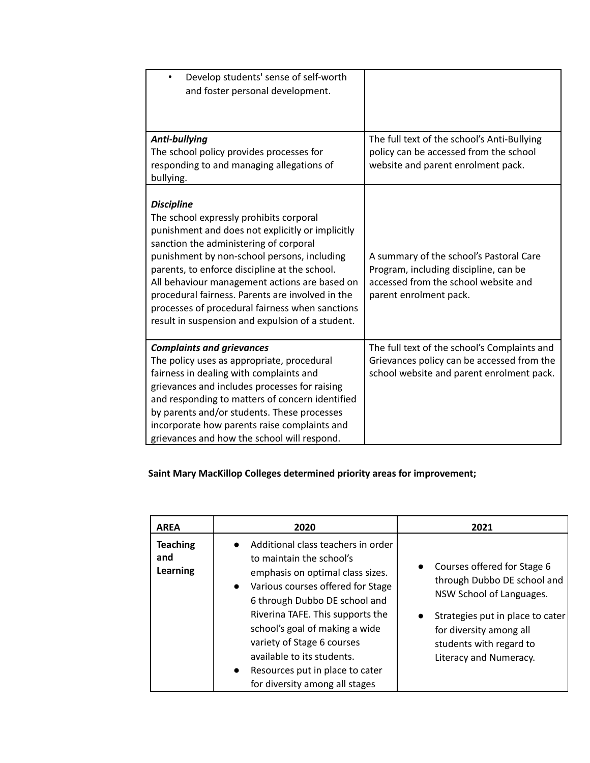| Develop students' sense of self-worth<br>$\bullet$<br>and foster personal development.                                                                                                                                                                                                                                                                                                                                                                                 |                                                                                                                                                    |
|------------------------------------------------------------------------------------------------------------------------------------------------------------------------------------------------------------------------------------------------------------------------------------------------------------------------------------------------------------------------------------------------------------------------------------------------------------------------|----------------------------------------------------------------------------------------------------------------------------------------------------|
| Anti-bullying<br>The school policy provides processes for<br>responding to and managing allegations of<br>bullying.                                                                                                                                                                                                                                                                                                                                                    | The full text of the school's Anti-Bullying<br>policy can be accessed from the school<br>website and parent enrolment pack.                        |
| <b>Discipline</b><br>The school expressly prohibits corporal<br>punishment and does not explicitly or implicitly<br>sanction the administering of corporal<br>punishment by non-school persons, including<br>parents, to enforce discipline at the school.<br>All behaviour management actions are based on<br>procedural fairness. Parents are involved in the<br>processes of procedural fairness when sanctions<br>result in suspension and expulsion of a student. | A summary of the school's Pastoral Care<br>Program, including discipline, can be<br>accessed from the school website and<br>parent enrolment pack. |
| <b>Complaints and grievances</b><br>The policy uses as appropriate, procedural<br>fairness in dealing with complaints and<br>grievances and includes processes for raising<br>and responding to matters of concern identified<br>by parents and/or students. These processes<br>incorporate how parents raise complaints and<br>grievances and how the school will respond.                                                                                            | The full text of the school's Complaints and<br>Grievances policy can be accessed from the<br>school website and parent enrolment pack.            |

## **Saint Mary MacKillop Colleges determined priority areas for improvement;**

| <b>AREA</b>                               | 2020                                                                                                                                                                                                                                                                                                                                                                                                      | 2021                                                                                                                                                                                                                                 |
|-------------------------------------------|-----------------------------------------------------------------------------------------------------------------------------------------------------------------------------------------------------------------------------------------------------------------------------------------------------------------------------------------------------------------------------------------------------------|--------------------------------------------------------------------------------------------------------------------------------------------------------------------------------------------------------------------------------------|
| <b>Teaching</b><br>and<br><b>Learning</b> | Additional class teachers in order<br>to maintain the school's<br>emphasis on optimal class sizes.<br>Various courses offered for Stage<br>$\bullet$<br>6 through Dubbo DE school and<br>Riverina TAFE. This supports the<br>school's goal of making a wide<br>variety of Stage 6 courses<br>available to its students.<br>Resources put in place to cater<br>$\bullet$<br>for diversity among all stages | Courses offered for Stage 6<br>$\bullet$<br>through Dubbo DE school and<br>NSW School of Languages.<br>Strategies put in place to cater<br>$\bullet$<br>for diversity among all<br>students with regard to<br>Literacy and Numeracy. |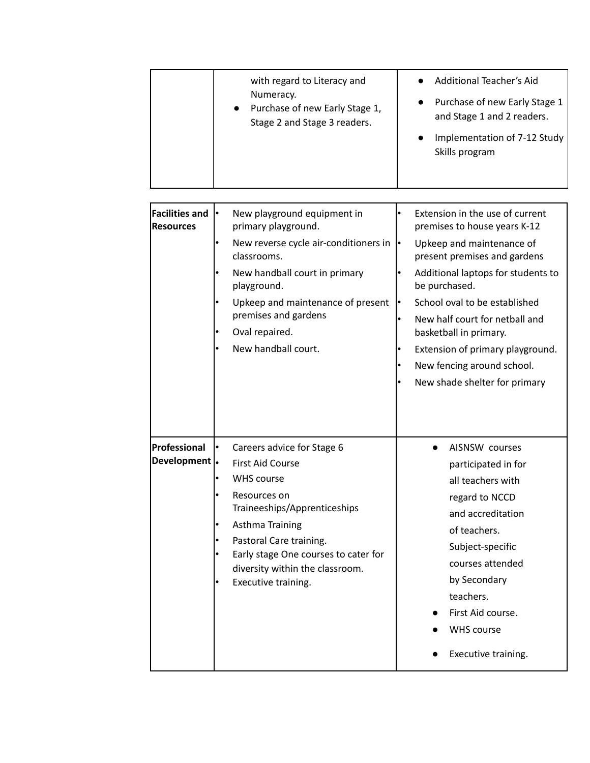| Purchase of new Early Stage 1,<br>$\bullet$<br>and Stage 1 and 2 readers.<br>Stage 2 and Stage 3 readers.<br>Implementation of 7-12 Study<br>Skills program |
|-------------------------------------------------------------------------------------------------------------------------------------------------------------|
|-------------------------------------------------------------------------------------------------------------------------------------------------------------|

| <b>Facilities and</b><br><b>Resources</b> | New playground equipment in<br>I۰<br>primary playground.<br>New reverse cycle air-conditioners in<br>classrooms.<br>New handball court in primary<br>playground.<br>Upkeep and maintenance of present<br>premises and gardens<br>Oval repaired.<br>New handball court.     | Extension in the use of current<br>premises to house years K-12<br>Upkeep and maintenance of<br>ŀ۰<br>present premises and gardens<br>Additional laptops for students to<br>be purchased.<br>School oval to be established<br>New half court for netball and<br>basketball in primary.<br>Extension of primary playground.<br>New fencing around school.<br>New shade shelter for primary |
|-------------------------------------------|----------------------------------------------------------------------------------------------------------------------------------------------------------------------------------------------------------------------------------------------------------------------------|-------------------------------------------------------------------------------------------------------------------------------------------------------------------------------------------------------------------------------------------------------------------------------------------------------------------------------------------------------------------------------------------|
| Professional<br>Development  .            | Careers advice for Stage 6<br><b>First Aid Course</b><br><b>WHS course</b><br>Resources on<br>Traineeships/Apprenticeships<br>Asthma Training<br>Pastoral Care training.<br>Early stage One courses to cater for<br>diversity within the classroom.<br>Executive training. | AISNSW courses<br>participated in for<br>all teachers with<br>regard to NCCD<br>and accreditation<br>of teachers.<br>Subject-specific<br>courses attended<br>by Secondary<br>teachers.<br>First Aid course.<br><b>WHS course</b><br>Executive training.                                                                                                                                   |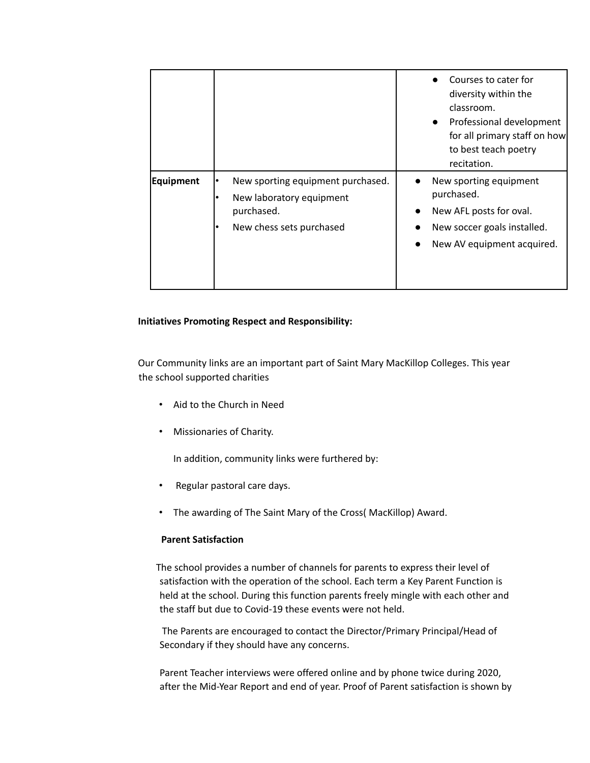|                  |                                                                                                         | Courses to cater for<br>diversity within the<br>classroom.<br>Professional development<br>$\bullet$<br>for all primary staff on how<br>to best teach poetry<br>recitation. |
|------------------|---------------------------------------------------------------------------------------------------------|----------------------------------------------------------------------------------------------------------------------------------------------------------------------------|
| <b>Equipment</b> | New sporting equipment purchased.<br>New laboratory equipment<br>purchased.<br>New chess sets purchased | New sporting equipment<br>purchased.<br>New AFL posts for oval.<br>New soccer goals installed.<br>New AV equipment acquired.                                               |

#### **Initiatives Promoting Respect and Responsibility:**

Our Community links are an important part of Saint Mary MacKillop Colleges. This year the school supported charities

- Aid to the Church in Need
- Missionaries of Charity.

In addition, community links were furthered by:

- Regular pastoral care days.
- The awarding of The Saint Mary of the Cross( MacKillop) Award.

#### **Parent Satisfaction**

The school provides a number of channels for parents to express their level of satisfaction with the operation of the school. Each term a Key Parent Function is held at the school. During this function parents freely mingle with each other and the staff but due to Covid-19 these events were not held.

The Parents are encouraged to contact the Director/Primary Principal/Head of Secondary if they should have any concerns.

Parent Teacher interviews were offered online and by phone twice during 2020, after the Mid-Year Report and end of year. Proof of Parent satisfaction is shown by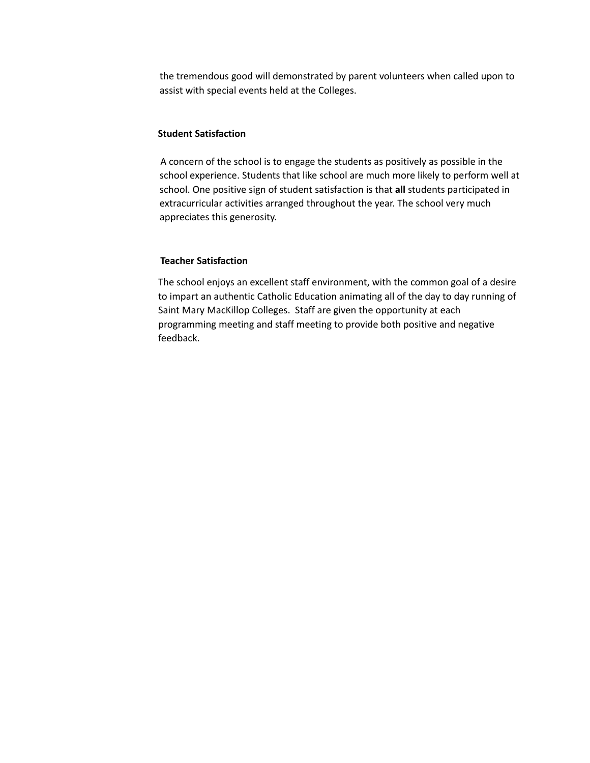the tremendous good will demonstrated by parent volunteers when called upon to assist with special events held at the Colleges.

#### **Student Satisfaction**

A concern of the school is to engage the students as positively as possible in the school experience. Students that like school are much more likely to perform well at school. One positive sign of student satisfaction is that **all** students participated in extracurricular activities arranged throughout the year. The school very much appreciates this generosity.

#### **Teacher Satisfaction**

The school enjoys an excellent staff environment, with the common goal of a desire to impart an authentic Catholic Education animating all of the day to day running of Saint Mary MacKillop Colleges. Staff are given the opportunity at each programming meeting and staff meeting to provide both positive and negative feedback.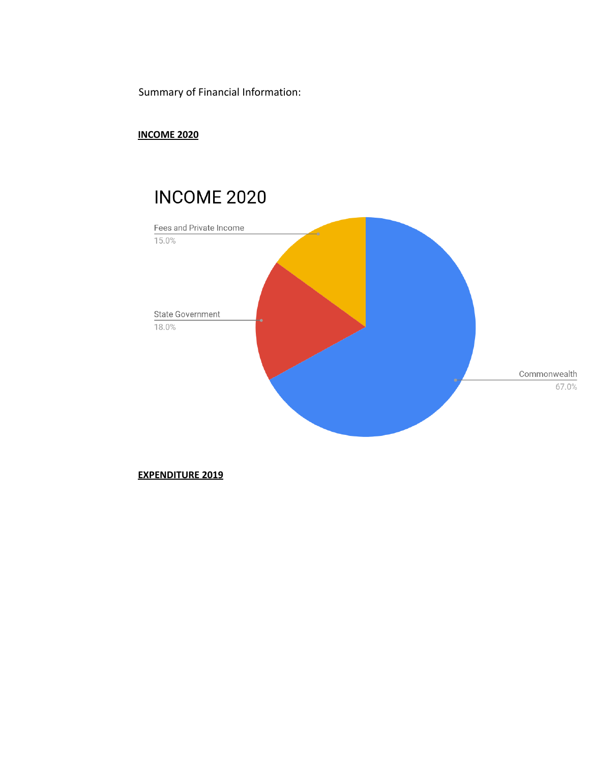Summary of Financial Information:

## **INCOME 2020**

# **INCOME 2020**



#### **EXPENDITURE 2019**